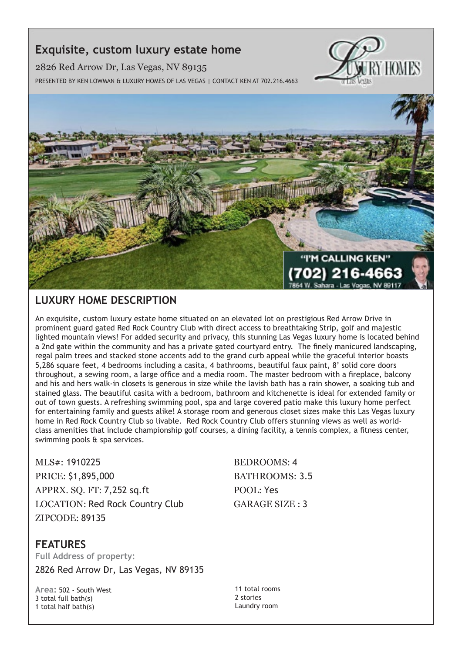## **Exquisite, custom luxury estate home**

2826 Red Arrow Dr, Las Vegas, NV 89135 Presented by Ken Lowman & Luxury Homes of Las Vegas | Contact Ken at 702.216.4663





## **Luxury Home description**

An exquisite, custom luxury estate home situated on an elevated lot on prestigious Red Arrow Drive in prominent guard gated Red Rock Country Club with direct access to breathtaking Strip, golf and majestic lighted mountain views! For added security and privacy, this stunning Las Vegas luxury home is located behind a 2nd gate within the community and has a private gated courtyard entry. The finely manicured landscaping, regal palm trees and stacked stone accents add to the grand curb appeal while the graceful interior boasts 5,286 square feet, 4 bedrooms including a casita, 4 bathrooms, beautiful faux paint, 8' solid core doors throughout, a sewing room, a large office and a media room. The master bedroom with a fireplace, balcony and his and hers walk-in closets is generous in size while the lavish bath has a rain shower, a soaking tub and stained glass. The beautiful casita with a bedroom, bathroom and kitchenette is ideal for extended family or out of town guests. A refreshing swimming pool, spa and large covered patio make this luxury home perfect for entertaining family and guests alike! A storage room and generous closet sizes make this Las Vegas luxury home in Red Rock Country Club so livable. Red Rock Country Club offers stunning views as well as worldclass amenities that include championship golf courses, a dining facility, a tennis complex, a fitness center, swimming pools & spa services.

MLS#: 1910225 BEDROOMS: 4 PRICE: \$1,895,000 BATHROOMS: 3.5 APPRX. SQ. FT: 7,252 sq.ft POOL: Yes LOCATION: Red Rock Country Club GARAGE SIZE : 3 ZIPCODE: 89135

## **features**

**Full Address of property:** 2826 Red Arrow Dr, Las Vegas, NV 89135

**Area:** 502 - South West 3 total full bath(s) 1 total half bath(s)

11 total rooms 2 stories Laundry room